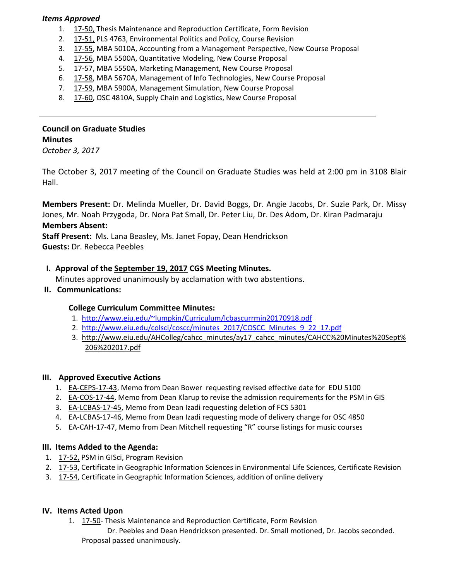## *Items Approved*

- 1. 17‐[50,](http://castle.eiu.edu/eiucgs/currentagendaitems/agenda17-50.pdf) Thesis Maintenance and Reproduction Certificate, Form Revision
- 2. 17‐[51,](http://castle.eiu.edu/eiucgs/currentagendaitems/agenda17-51.pdf) PLS 4763, Environmental Politics and Policy, Course Revision
- 3. 17‐[55,](http://castle.eiu.edu/eiucgs/currentagendaitems/agenda17-55.pdf) MBA 5010A, Accounting from a Management Perspective, New Course Proposal
- 4. 17‐[56,](http://castle.eiu.edu/eiucgs/currentagendaitems/agenda17-56.pdf) MBA 5500A, Quantitative Modeling, New Course Proposal
- 5. 17-[57,](http://castle.eiu.edu/eiucgs/currentagendaitems/agenda17-57.pdf) MBA 5550A, Marketing Management, New Course Proposal
- 6. [17](http://castle.eiu.edu/eiucgs/currentagendaitems/agenda17-58.pdf)‐58, MBA 5670A, Management of Info Technologies, New Course Proposal
- 7. [17](http://castle.eiu.edu/eiucgs/currentagendaitems/agenda17-59.pdf)-59, MBA 5900A, Management Simulation, New Course Proposal
- 8. 17-[60,](http://castle.eiu.edu/eiucgs/currentagendaitems/agenda17-60.pdf) OSC 4810A, Supply Chain and Logistics, New Course Proposal

# **Council on Graduate Studies Minutes**

*October 3, 2017*

The October 3, 2017 meeting of the Council on Graduate Studies was held at 2:00 pm in 3108 Blair Hall.

**Members Present:** Dr. Melinda Mueller, Dr. David Boggs, Dr. Angie Jacobs, Dr. Suzie Park, Dr. Missy Jones, Mr. Noah Przygoda, Dr. Nora Pat Small, Dr. Peter Liu, Dr. Des Adom, Dr. Kiran Padmaraju **Members Absent:**

**Staff Present:** Ms. Lana Beasley, Ms. Janet Fopay, Dean Hendrickson **Guests:** Dr. Rebecca Peebles

# **I. Approval of the [September](http://castle.eiu.edu/eiucgs/currentminutes/Minutes9-19-17.pdf) 19, 2017 CGS Meeting Minutes.**

Minutes approved unanimously by acclamation with two abstentions.

**II. Communications:**

# **College Curriculum Committee Minutes:**

- 1. <http://www.eiu.edu/~lumpkin/Curriculum/lcbascurrmin20170918.pdf>
- 2. [http://www.eiu.edu/colsci/coscc/minutes\\_2017/COSCC\\_Minutes\\_9\\_22\\_17.pdf](http://www.eiu.edu/colsci/coscc/minutes_2017/COSCC_Minutes_9_22_17.pdf)
- 3. http://www.eiu.edu/AHColleg/cahcc\_minutes/ay17\_cahcc\_minutes/CAHCC%20Minutes%20Sept% 206%202017.pdf

## **III. Approved Executive Actions**

- 1. EA-[CEPS](http://castle.eiu.edu/eiucgs/exec-actions/EA-CEPS-17-43.pdf)-17-43, Memo from Dean Bower requesting revised effective date for EDU 5100
- 2. EA-[COS](http://castle.eiu.edu/eiucgs/exec-actions/EA-COS-17-44.pdf)-17-44, Memo from Dean Klarup to revise the admission requirements for the PSM in GIS
- 3. EA‐[LCBAS](http://castle.eiu.edu/eiucgs/exec-actions/EA-LCBAS-17-45.pdf)‐17‐45, Memo from Dean Izadi requesting deletion of FCS 5301
- 4. EA‐[LCBAS](http://castle.eiu.edu/eiucgs/exec-actions/EA-LCBAS-17-46.pdf)‐17‐46, Memo from Dean Izadi requesting mode of delivery change for OSC 4850
- 5. EA-[CAH](http://castle.eiu.edu/eiucgs/exec-actions/EA-CAH-17-47.pdf)-17-47, Memo from Dean Mitchell requesting "R" course listings for music courses

## **III. Items Added to the Agenda:**

- 1. 17‐[52,](http://castle.eiu.edu/eiucgs/currentagendaitems/agenda17-52.pdf) PSM in GISci, Program Revision
- 2. 17-[53,](http://castle.eiu.edu/eiucgs/currentagendaitems/agenda17-53.pdf) Certificate in Geographic Information Sciences in Environmental Life Sciences, Certificate Revision
- 3. [17](http://castle.eiu.edu/eiucgs/currentagendaitems/agenda17-54.pdf)-54, Certificate in Geographic Information Sciences, addition of online delivery

## **IV. Items Acted Upon**

1. [17](http://castle.eiu.edu/eiucgs/currentagendaitems/agenda17-50.pdf)‐50‐ Thesis Maintenance and Reproduction Certificate, Form Revision Dr. Peebles and Dean Hendrickson presented. Dr. Small motioned, Dr. Jacobs seconded. Proposal passed unanimously.